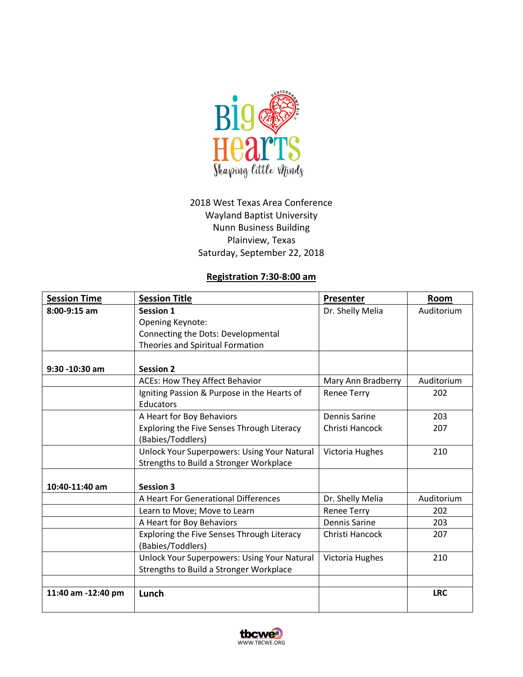

## 2018 West Texas Area Conference Wayland Baptist University Nunn Business Building Plainview, Texas Saturday, September 22, 2018

## **Registration 7:30-8:00 am**

| <b>Session Time</b> | <b>Session Title</b>                                                                   | Presenter            | Room       |
|---------------------|----------------------------------------------------------------------------------------|----------------------|------------|
| $8:00-9:15$ am      | <b>Session 1</b>                                                                       | Dr. Shelly Melia     | Auditorium |
|                     | Opening Keynote:                                                                       |                      |            |
|                     | Connecting the Dots: Developmental                                                     |                      |            |
|                     | Theories and Spiritual Formation                                                       |                      |            |
|                     |                                                                                        |                      |            |
| 9:30 -10:30 am      | <b>Session 2</b>                                                                       |                      |            |
|                     | <b>ACEs: How They Affect Behavior</b>                                                  | Mary Ann Bradberry   | Auditorium |
|                     | Igniting Passion & Purpose in the Hearts of<br>Educators                               | <b>Renee Terry</b>   | 202        |
|                     | A Heart for Boy Behaviors                                                              | <b>Dennis Sarine</b> | 203        |
|                     | Exploring the Five Senses Through Literacy<br>(Babies/Toddlers)                        | Christi Hancock      | 207        |
|                     | Unlock Your Superpowers: Using Your Natural<br>Strengths to Build a Stronger Workplace | Victoria Hughes      | 210        |
|                     |                                                                                        |                      |            |
| 10:40-11:40 am      | <b>Session 3</b>                                                                       |                      |            |
|                     | A Heart For Generational Differences                                                   | Dr. Shelly Melia     | Auditorium |
|                     | Learn to Move; Move to Learn                                                           | <b>Renee Terry</b>   | 202        |
|                     | A Heart for Boy Behaviors                                                              | <b>Dennis Sarine</b> | 203        |
|                     | Exploring the Five Senses Through Literacy<br>(Babies/Toddlers)                        | Christi Hancock      | 207        |
|                     | Unlock Your Superpowers: Using Your Natural<br>Strengths to Build a Stronger Workplace | Victoria Hughes      | 210        |
|                     |                                                                                        |                      |            |
| 11:40 am -12:40 pm  | Lunch                                                                                  |                      | <b>LRC</b> |
|                     |                                                                                        |                      |            |